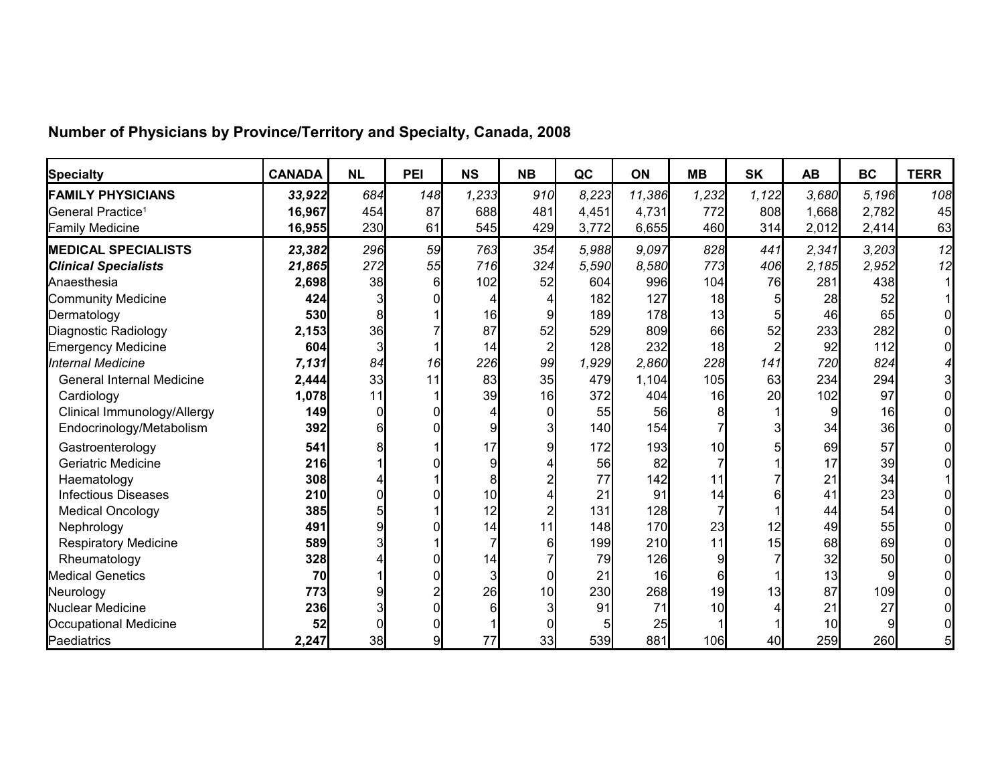| <b>Specialty</b>                 | <b>CANADA</b> | <b>NL</b> | PEI | <b>NS</b> | <b>NB</b>       | QC    | <b>ON</b> | <b>MB</b>       | <b>SK</b> | <b>AB</b> | <b>BC</b> | <b>TERR</b> |
|----------------------------------|---------------|-----------|-----|-----------|-----------------|-------|-----------|-----------------|-----------|-----------|-----------|-------------|
| <b>FAMILY PHYSICIANS</b>         | 33,922        | 684       | 148 | 1,233     | 910             | 8,223 | 11,386    | 1,232           | 1,122     | 3.680     | 5.196     | 108         |
| General Practice <sup>1</sup>    | 16,967        | 454       | 87  | 688       | 481             | 4,451 | 4,731     | 772             | 808       | 1,668     | 2,782     | 45          |
| <b>Family Medicine</b>           | 16,955        | 230       | 61  | 545       | 429             | 3,772 | 6,655     | 460             | 314       | 2,012     | 2,414     | 63          |
| <b>MEDICAL SPECIALISTS</b>       | 23,382        | 296       | 59  | 763       | 354             | 5.988 | 9.097     | 828             | 441       | 2,341     | 3,203     | 12          |
| <b>Clinical Specialists</b>      | 21,865        | 272       | 55  | 716       | 324             | 5,590 | 8,580     | 773             | 406       | 2,185     | 2,952     | 12          |
| Anaesthesia                      | 2,698         | 38        | 6   | 102       | 52              | 604   | 996       | 104             | 76        | 281       | 438       |             |
| Community Medicine               | 424           |           |     |           |                 | 182   | 127       | 18              |           | 28        | 52        |             |
| Dermatology                      | 530           |           |     | 16        |                 | 189   | 178       | 13              |           | 46        | 65        |             |
| Diagnostic Radiology             | 2,153         | 36        |     | 87        | 52              | 529   | 809       | 66              | 52        | 233       | 282       |             |
| <b>Emergency Medicine</b>        | 604           |           |     | 14        |                 | 128   | 232       | 18 <sup>l</sup> |           | 92        | 112       |             |
| Internal Medicine                | 7,131         | 84        | 16  | 226       | 99              | 1,929 | 2,860     | 228             | 141       | 720       | 824       |             |
| <b>General Internal Medicine</b> | 2,444         | 33        | 11  | 83        | 35              | 479   | 1,104     | 10 <sub>5</sub> | 63        | 234       | 294       |             |
| Cardiology                       | 1,078         | 11        |     | 39        | 16              | 372   | 404       | 16              | 20        | 102       | 97        |             |
| Clinical Immunology/Allergy      | 149           |           |     |           |                 | 55    | 56        |                 |           |           | 16        |             |
| Endocrinology/Metabolism         | 392           |           |     |           |                 | 140   | 154       |                 |           | 34        | 36        |             |
| Gastroenterology                 | 541           |           |     | 17        |                 | 172   | 193       | 10              |           | 69        | 57        |             |
| <b>Geriatric Medicine</b>        | 216           |           |     |           |                 | 56    | 82        |                 |           | 17        | 39        |             |
| Haematology                      | 308           |           |     |           |                 | 77    | 142       |                 |           | 21        | 34        |             |
| <b>Infectious Diseases</b>       | 210           |           |     | 10        |                 | 21    | 91        | 14              |           | 41        | 23        |             |
| <b>Medical Oncology</b>          | 385           |           |     | 12        |                 | 131   | 128       |                 |           | 44        | 54        |             |
| Nephrology                       | 491           |           |     | 14        |                 | 148   | 170       | 23              | 12        | 49        | 55        |             |
| <b>Respiratory Medicine</b>      | 589           |           |     |           |                 | 199   | 210       | 11              | 15        | 68        | 69        |             |
| Rheumatology                     | 328           |           |     | 14        |                 | 79    | 126       |                 |           | 32        | <b>50</b> |             |
| <b>Medical Genetics</b>          | 70            |           |     |           |                 | 21    | 16        |                 |           | 13        |           |             |
| Neurology                        | 773           |           |     | 26        | 10 <sup>1</sup> | 230   | 268       | 19              | 13        | 87        | 109       |             |
| Nuclear Medicine                 | 236           |           |     |           |                 | 91    | 71        | 10              |           | 21        | 27        |             |
| Occupational Medicine            | 52            |           |     |           |                 | 5     | 25        |                 |           | 10        |           |             |
| Paediatrics                      | 2,247         | 38        | 9   | 77        | 33              | 539   | 881       | 106             | 40        | 259       | 260       |             |

## **Number of Physicians by Province/Territory and Specialty, Canada, 2008**